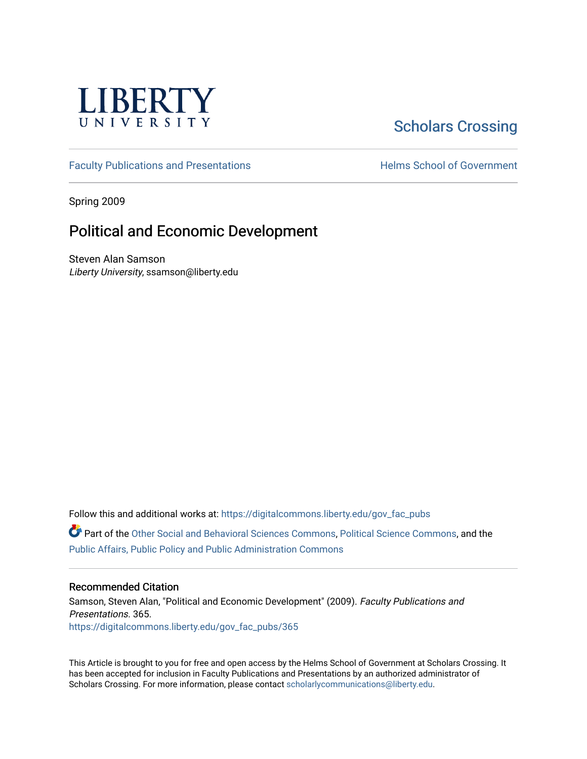

# [Scholars Crossing](https://digitalcommons.liberty.edu/)

[Faculty Publications and Presentations](https://digitalcommons.liberty.edu/gov_fac_pubs) **Exercise School of Government** 

Spring 2009

## Political and Economic Development

Steven Alan Samson Liberty University, ssamson@liberty.edu

Follow this and additional works at: [https://digitalcommons.liberty.edu/gov\\_fac\\_pubs](https://digitalcommons.liberty.edu/gov_fac_pubs?utm_source=digitalcommons.liberty.edu%2Fgov_fac_pubs%2F365&utm_medium=PDF&utm_campaign=PDFCoverPages)

Part of the [Other Social and Behavioral Sciences Commons](http://network.bepress.com/hgg/discipline/437?utm_source=digitalcommons.liberty.edu%2Fgov_fac_pubs%2F365&utm_medium=PDF&utm_campaign=PDFCoverPages), [Political Science Commons](http://network.bepress.com/hgg/discipline/386?utm_source=digitalcommons.liberty.edu%2Fgov_fac_pubs%2F365&utm_medium=PDF&utm_campaign=PDFCoverPages), and the [Public Affairs, Public Policy and Public Administration Commons](http://network.bepress.com/hgg/discipline/393?utm_source=digitalcommons.liberty.edu%2Fgov_fac_pubs%2F365&utm_medium=PDF&utm_campaign=PDFCoverPages)

## Recommended Citation

Samson, Steven Alan, "Political and Economic Development" (2009). Faculty Publications and Presentations. 365. [https://digitalcommons.liberty.edu/gov\\_fac\\_pubs/365](https://digitalcommons.liberty.edu/gov_fac_pubs/365?utm_source=digitalcommons.liberty.edu%2Fgov_fac_pubs%2F365&utm_medium=PDF&utm_campaign=PDFCoverPages)

This Article is brought to you for free and open access by the Helms School of Government at Scholars Crossing. It has been accepted for inclusion in Faculty Publications and Presentations by an authorized administrator of Scholars Crossing. For more information, please contact [scholarlycommunications@liberty.edu.](mailto:scholarlycommunications@liberty.edu)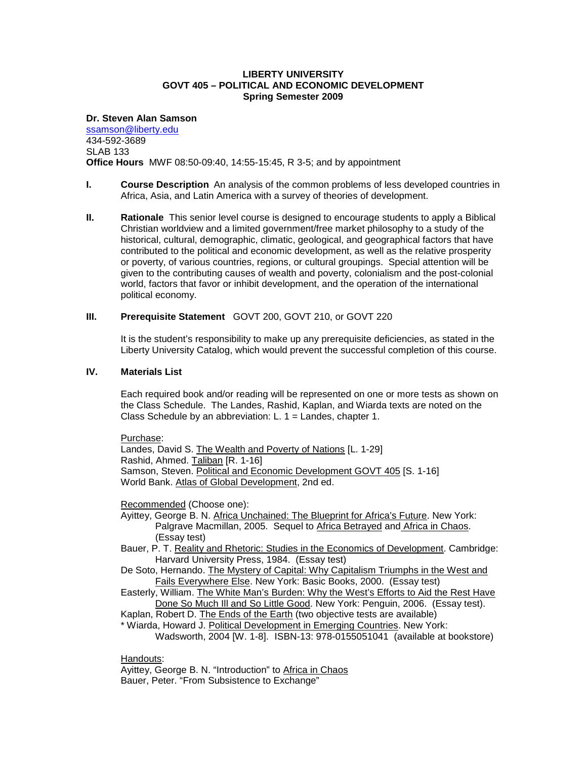## **LIBERTY UNIVERSITY GOVT 405 – POLITICAL AND ECONOMIC DEVELOPMENT Spring Semester 2009**

#### **Dr. Steven Alan Samson**

[ssamson@liberty.edu](mailto:ssamson@liberty.edu) 434-592-3689 SLAB 133 **Office Hours** MWF 08:50-09:40, 14:55-15:45, R 3-5; and by appointment

- **I. Course Description** An analysis of the common problems of less developed countries in Africa, Asia, and Latin America with a survey of theories of development.
- **II. Rationale** This senior level course is designed to encourage students to apply a Biblical Christian worldview and a limited government/free market philosophy to a study of the historical, cultural, demographic, climatic, geological, and geographical factors that have contributed to the political and economic development, as well as the relative prosperity or poverty, of various countries, regions, or cultural groupings. Special attention will be given to the contributing causes of wealth and poverty, colonialism and the post-colonial world, factors that favor or inhibit development, and the operation of the international political economy.

## **III. Prerequisite Statement** GOVT 200, GOVT 210, or GOVT 220

It is the student's responsibility to make up any prerequisite deficiencies, as stated in the Liberty University Catalog, which would prevent the successful completion of this course.

## **IV. Materials List**

Each required book and/or reading will be represented on one or more tests as shown on the Class Schedule. The Landes, Rashid, Kaplan, and Wiarda texts are noted on the Class Schedule by an abbreviation: L. 1 = Landes, chapter 1.

Purchase:

Landes, David S. The Wealth and Poverty of Nations [L. 1-29] Rashid, Ahmed. Taliban [R. 1-16] Samson, Steven. Political and Economic Development GOVT 405 [S. 1-16] World Bank. Atlas of Global Development, 2nd ed.

Recommended (Choose one):

- Ayittey, George B. N. Africa Unchained: The Blueprint for Africa's Future. New York: Palgrave Macmillan, 2005. Sequel to Africa Betrayed and Africa in Chaos. (Essay test)
- Bauer, P. T. Reality and Rhetoric: Studies in the Economics of Development. Cambridge: Harvard University Press, 1984. (Essay test)
- De Soto, Hernando. The Mystery of Capital: Why Capitalism Triumphs in the West and Fails Everywhere Else. New York: Basic Books, 2000. (Essay test)
- Easterly, William. The White Man's Burden: Why the West's Efforts to Aid the Rest Have Done So Much Ill and So Little Good. New York: Penguin, 2006. (Essay test).

Kaplan, Robert D. The Ends of the Earth (two objective tests are available)

\* Wiarda, Howard J. Political Development in Emerging Countries. New York: Wadsworth, 2004 [W. 1-8]. ISBN-13: 978-0155051041 (available at bookstore)

### Handouts:

Ayittey, George B. N. "Introduction" to Africa in Chaos Bauer, Peter. "From Subsistence to Exchange"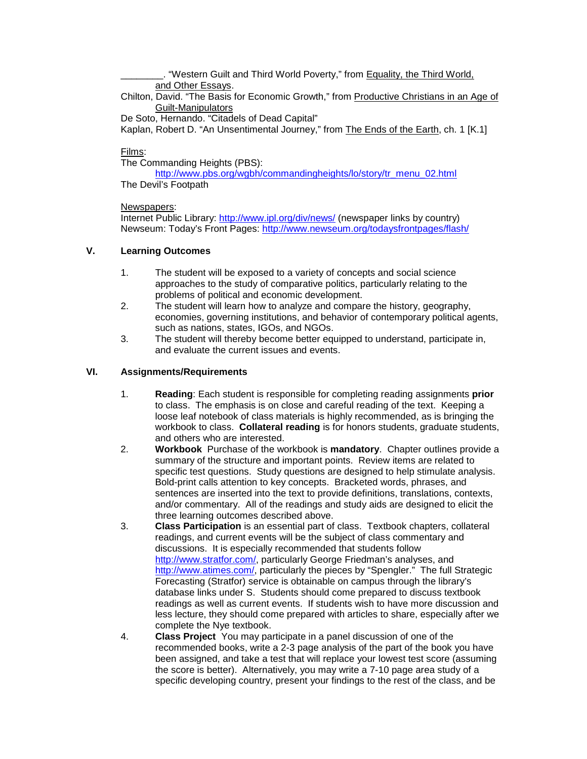. "Western Guilt and Third World Poverty," from Equality, the Third World, and Other Essays.

Chilton, David. "The Basis for Economic Growth," from Productive Christians in an Age of Guilt-Manipulators

De Soto, Hernando. "Citadels of Dead Capital"

Kaplan, Robert D. "An Unsentimental Journey," from The Ends of the Earth, ch. 1 [K.1]

## Films:

The Commanding Heights (PBS):

[http://www.pbs.org/wgbh/commandingheights/lo/story/tr\\_menu\\_02.html](http://www.pbs.org/wgbh/commandingheights/lo/story/tr_menu_02.html) The Devil's Footpath

## Newspapers:

Internet Public Library:<http://www.ipl.org/div/news/> (newspaper links by country) Newseum: Today's Front Pages: <http://www.newseum.org/todaysfrontpages/flash/>

## **V. Learning Outcomes**

- 1. The student will be exposed to a variety of concepts and social science approaches to the study of comparative politics, particularly relating to the problems of political and economic development.
- 2. The student will learn how to analyze and compare the history, geography, economies, governing institutions, and behavior of contemporary political agents, such as nations, states, IGOs, and NGOs.
- 3. The student will thereby become better equipped to understand, participate in, and evaluate the current issues and events.

## **VI. Assignments/Requirements**

- 1. **Reading**: Each student is responsible for completing reading assignments **prior** to class. The emphasis is on close and careful reading of the text. Keeping a loose leaf notebook of class materials is highly recommended, as is bringing the workbook to class. **Collateral reading** is for honors students, graduate students, and others who are interested.
- 2. **Workbook** Purchase of the workbook is **mandatory**. Chapter outlines provide a summary of the structure and important points. Review items are related to specific test questions. Study questions are designed to help stimulate analysis. Bold-print calls attention to key concepts. Bracketed words, phrases, and sentences are inserted into the text to provide definitions, translations, contexts, and/or commentary. All of the readings and study aids are designed to elicit the three learning outcomes described above.
- 3. **Class Participation** is an essential part of class. Textbook chapters, collateral readings, and current events will be the subject of class commentary and discussions. It is especially recommended that students follow [http://www.stratfor.com/,](http://www.stratfor.com/) particularly George Friedman's analyses, and [http://www.atimes.com/,](http://www.atimes.com/) particularly the pieces by "Spengler." The full Strategic Forecasting (Stratfor) service is obtainable on campus through the library's database links under S. Students should come prepared to discuss textbook readings as well as current events. If students wish to have more discussion and less lecture, they should come prepared with articles to share, especially after we complete the Nye textbook.
- 4. **Class Project** You may participate in a panel discussion of one of the recommended books, write a 2-3 page analysis of the part of the book you have been assigned, and take a test that will replace your lowest test score (assuming the score is better). Alternatively, you may write a 7-10 page area study of a specific developing country, present your findings to the rest of the class, and be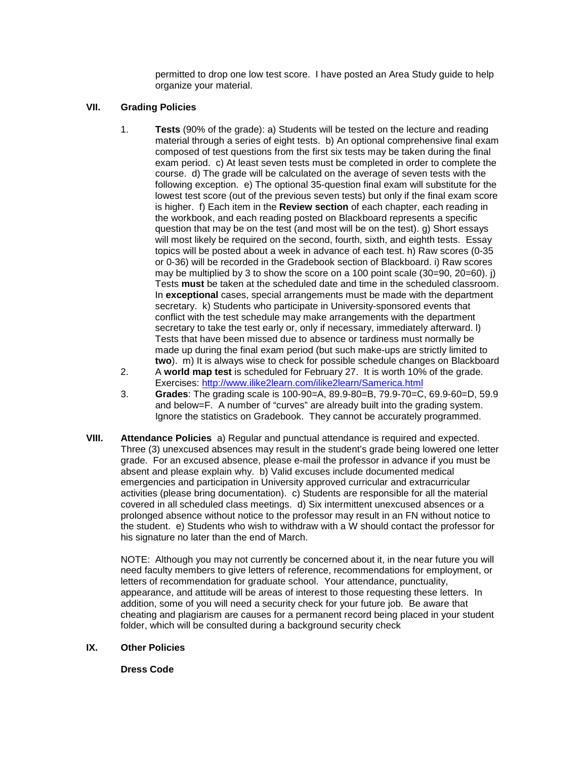permitted to drop one low test score. I have posted an Area Study guide to help organize your material.

## **VII. Grading Policies**

- 1. **Tests** (90% of the grade): a) Students will be tested on the lecture and reading material through a series of eight tests. b) An optional comprehensive final exam composed of test questions from the first six tests may be taken during the final exam period. c) At least seven tests must be completed in order to complete the course. d) The grade will be calculated on the average of seven tests with the following exception. e) The optional 35-question final exam will substitute for the lowest test score (out of the previous seven tests) but only if the final exam score is higher. f) Each item in the **Review section** of each chapter, each reading in the workbook, and each reading posted on Blackboard represents a specific question that may be on the test (and most will be on the test). g) Short essays will most likely be required on the second, fourth, sixth, and eighth tests. Essay topics will be posted about a week in advance of each test. h) Raw scores (0-35 or 0-36) will be recorded in the Gradebook section of Blackboard. i) Raw scores may be multiplied by 3 to show the score on a 100 point scale  $(30=90, 20=60)$ . j) Tests **must** be taken at the scheduled date and time in the scheduled classroom. In **exceptional** cases, special arrangements must be made with the department secretary. k) Students who participate in University-sponsored events that conflict with the test schedule may make arrangements with the department secretary to take the test early or, only if necessary, immediately afterward. I) Tests that have been missed due to absence or tardiness must normally be made up during the final exam period (but such make-ups are strictly limited to **two**). m) It is always wise to check for possible schedule changes on Blackboard
- 2. A **world map test** is scheduled for February 27. It is worth 10% of the grade. Exercises: <http://www.ilike2learn.com/ilike2learn/Samerica.html>
- 3. **Grades**: The grading scale is 100-90=A, 89.9-80=B, 79.9-70=C, 69.9-60=D, 59.9 and below=F. A number of "curves" are already built into the grading system. Ignore the statistics on Gradebook. They cannot be accurately programmed.
- **VIII. Attendance Policies** a) Regular and punctual attendance is required and expected. Three (3) unexcused absences may result in the student's grade being lowered one letter grade. For an excused absence, please e-mail the professor in advance if you must be absent and please explain why. b) Valid excuses include documented medical emergencies and participation in University approved curricular and extracurricular activities (please bring documentation). c) Students are responsible for all the material covered in all scheduled class meetings. d) Six intermittent unexcused absences or a prolonged absence without notice to the professor may result in an FN without notice to the student. e) Students who wish to withdraw with a W should contact the professor for his signature no later than the end of March.

NOTE: Although you may not currently be concerned about it, in the near future you will need faculty members to give letters of reference, recommendations for employment, or letters of recommendation for graduate school. Your attendance, punctuality, appearance, and attitude will be areas of interest to those requesting these letters. In addition, some of you will need a security check for your future job. Be aware that cheating and plagiarism are causes for a permanent record being placed in your student folder, which will be consulted during a background security check

**IX. Other Policies**

**Dress Code**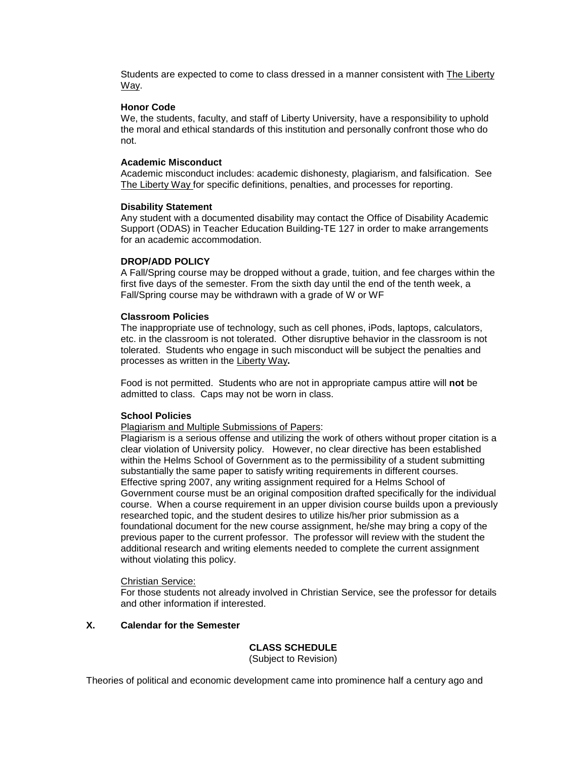Students are expected to come to class dressed in a manner consistent with **The Liberty** Way.

#### **Honor Code**

We, the students, faculty, and staff of Liberty University, have a responsibility to uphold the moral and ethical standards of this institution and personally confront those who do not.

#### **Academic Misconduct**

Academic misconduct includes: academic dishonesty, plagiarism, and falsification. See The Liberty Way for specific definitions, penalties, and processes for reporting.

#### **Disability Statement**

Any student with a documented disability may contact the Office of Disability Academic Support (ODAS) in Teacher Education Building-TE 127 in order to make arrangements for an academic accommodation.

#### **DROP/ADD POLICY**

A Fall/Spring course may be dropped without a grade, tuition, and fee charges within the first five days of the semester. From the sixth day until the end of the tenth week, a Fall/Spring course may be withdrawn with a grade of W or WF

#### **Classroom Policies**

The inappropriate use of technology, such as cell phones, iPods, laptops, calculators, etc. in the classroom is not tolerated. Other disruptive behavior in the classroom is not tolerated. Students who engage in such misconduct will be subject the penalties and processes as written in the Liberty Way**.**

Food is not permitted. Students who are not in appropriate campus attire will **not** be admitted to class. Caps may not be worn in class.

## **School Policies**

Plagiarism and Multiple Submissions of Papers:

Plagiarism is a serious offense and utilizing the work of others without proper citation is a clear violation of University policy. However, no clear directive has been established within the Helms School of Government as to the permissibility of a student submitting substantially the same paper to satisfy writing requirements in different courses. Effective spring 2007, any writing assignment required for a Helms School of Government course must be an original composition drafted specifically for the individual course. When a course requirement in an upper division course builds upon a previously researched topic, and the student desires to utilize his/her prior submission as a foundational document for the new course assignment, he/she may bring a copy of the previous paper to the current professor. The professor will review with the student the additional research and writing elements needed to complete the current assignment without violating this policy.

#### Christian Service:

For those students not already involved in Christian Service, see the professor for details and other information if interested.

#### **X. Calendar for the Semester**

#### **CLASS SCHEDULE** (Subject to Revision)

Theories of political and economic development came into prominence half a century ago and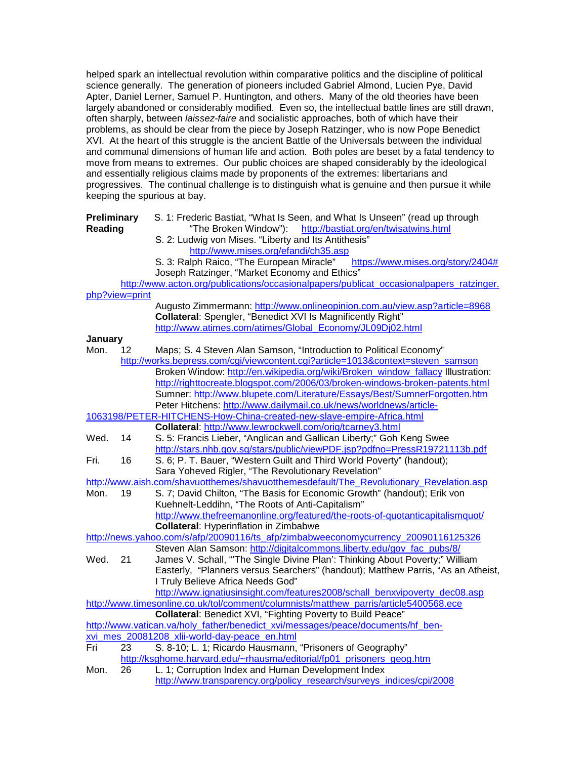helped spark an intellectual revolution within comparative politics and the discipline of political science generally. The generation of pioneers included Gabriel Almond, Lucien Pye, David Apter, Daniel Lerner, Samuel P. Huntington, and others. Many of the old theories have been largely abandoned or considerably modified. Even so, the intellectual battle lines are still drawn, often sharply, between *laissez-faire* and socialistic approaches, both of which have their problems, as should be clear from the piece by Joseph Ratzinger, who is now Pope Benedict XVI. At the heart of this struggle is the ancient Battle of the Universals between the individual and communal dimensions of human life and action. Both poles are beset by a fatal tendency to move from means to extremes. Our public choices are shaped considerably by the ideological and essentially religious claims made by proponents of the extremes: libertarians and progressives. The continual challenge is to distinguish what is genuine and then pursue it while keeping the spurious at bay.

| Preliminary<br>Reading |    | S. 1: Frederic Bastiat, "What Is Seen, and What Is Unseen" (read up through<br>"The Broken Window"):<br>http://bastiat.org/en/twisatwins.html<br>S. 2: Ludwig von Mises. "Liberty and Its Antithesis"<br>http://www.mises.org/efandi/ch35.asp<br>S. 3: Ralph Raico, "The European Miracle"<br>https://www.mises.org/story/2404# |
|------------------------|----|---------------------------------------------------------------------------------------------------------------------------------------------------------------------------------------------------------------------------------------------------------------------------------------------------------------------------------|
|                        |    | Joseph Ratzinger, "Market Economy and Ethics"                                                                                                                                                                                                                                                                                   |
|                        |    | http://www.acton.org/publications/occasionalpapers/publicat_occasionalpapers_ratzinger.                                                                                                                                                                                                                                         |
| php?view=print         |    |                                                                                                                                                                                                                                                                                                                                 |
|                        |    | Augusto Zimmermann: http://www.onlineopinion.com.au/view.asp?article=8968                                                                                                                                                                                                                                                       |
|                        |    | Collateral: Spengler, "Benedict XVI Is Magnificently Right"                                                                                                                                                                                                                                                                     |
|                        |    | http://www.atimes.com/atimes/Global_Economy/JL09Dj02.html                                                                                                                                                                                                                                                                       |
| January<br>Mon.        | 12 |                                                                                                                                                                                                                                                                                                                                 |
|                        |    | Maps; S. 4 Steven Alan Samson, "Introduction to Political Economy"<br>http://works.bepress.com/cgi/viewcontent.cgi?article=1013&context=steven_samson                                                                                                                                                                           |
|                        |    | Broken Window: http://en.wikipedia.org/wiki/Broken_window_fallacy Illustration:                                                                                                                                                                                                                                                 |
|                        |    | http://righttocreate.blogspot.com/2006/03/broken-windows-broken-patents.html                                                                                                                                                                                                                                                    |
|                        |    | Sumner: http://www.blupete.com/Literature/Essays/Best/SumnerForgotten.htm                                                                                                                                                                                                                                                       |
|                        |    | Peter Hitchens: http://www.dailymail.co.uk/news/worldnews/article-                                                                                                                                                                                                                                                              |
|                        |    | 1063198/PETER-HITCHENS-How-China-created-new-slave-empire-Africa.html                                                                                                                                                                                                                                                           |
|                        |    | Collateral: http://www.lewrockwell.com/orig/tcarney3.html                                                                                                                                                                                                                                                                       |
| Wed.                   | 14 | S. 5: Francis Lieber, "Anglican and Gallican Liberty;" Goh Keng Swee                                                                                                                                                                                                                                                            |
|                        |    | http://stars.nhb.gov.sg/stars/public/viewPDF.jsp?pdfno=PressR19721113b.pdf                                                                                                                                                                                                                                                      |
| Fri.                   | 16 | S. 6; P. T. Bauer, "Western Guilt and Third World Poverty" (handout);                                                                                                                                                                                                                                                           |
|                        |    | Sara Yoheved Rigler, "The Revolutionary Revelation"                                                                                                                                                                                                                                                                             |
|                        |    | http://www.aish.com/shavuotthemes/shavuotthemesdefault/The_Revolutionary_Revelation.asp                                                                                                                                                                                                                                         |
| Mon.                   | 19 | S. 7; David Chilton, "The Basis for Economic Growth" (handout); Erik von                                                                                                                                                                                                                                                        |
|                        |    | Kuehnelt-Leddihn, "The Roots of Anti-Capitalism"                                                                                                                                                                                                                                                                                |
|                        |    | http://www.thefreemanonline.org/featured/the-roots-of-quotanticapitalismquot/                                                                                                                                                                                                                                                   |
|                        |    | <b>Collateral: Hyperinflation in Zimbabwe</b>                                                                                                                                                                                                                                                                                   |
|                        |    | http://news.yahoo.com/s/afp/20090116/ts afp/zimbabweeconomycurrency 20090116125326                                                                                                                                                                                                                                              |
|                        |    | Steven Alan Samson: http://digitalcommons.liberty.edu/gov_fac_pubs/8/                                                                                                                                                                                                                                                           |
| Wed.                   | 21 | James V. Schall, "The Single Divine Plan': Thinking About Poverty;" William                                                                                                                                                                                                                                                     |
|                        |    | Easterly, "Planners versus Searchers" (handout); Matthew Parris, "As an Atheist,                                                                                                                                                                                                                                                |
|                        |    | I Truly Believe Africa Needs God"                                                                                                                                                                                                                                                                                               |
|                        |    | http://www.ignatiusinsight.com/features2008/schall_benxvipoverty_dec08.asp                                                                                                                                                                                                                                                      |
|                        |    | http://www.timesonline.co.uk/tol/comment/columnists/matthew_parris/article5400568.ece                                                                                                                                                                                                                                           |
|                        |    | Collateral: Benedict XVI, "Fighting Poverty to Build Peace"                                                                                                                                                                                                                                                                     |
|                        |    | http://www.vatican.va/holy_father/benedict_xvi/messages/peace/documents/hf_ben-                                                                                                                                                                                                                                                 |
|                        |    | xvi_mes_20081208_xlii-world-day-peace_en.html                                                                                                                                                                                                                                                                                   |
| Fri                    | 23 | S. 8-10; L. 1; Ricardo Hausmann, "Prisoners of Geography"                                                                                                                                                                                                                                                                       |
|                        |    | http://ksghome.harvard.edu/~rhausma/editorial/fp01_prisoners_geog.htm                                                                                                                                                                                                                                                           |
| Mon.                   | 26 | L. 1; Corruption Index and Human Development Index                                                                                                                                                                                                                                                                              |
|                        |    | http://www.transparency.org/policy research/surveys indices/cpi/2008                                                                                                                                                                                                                                                            |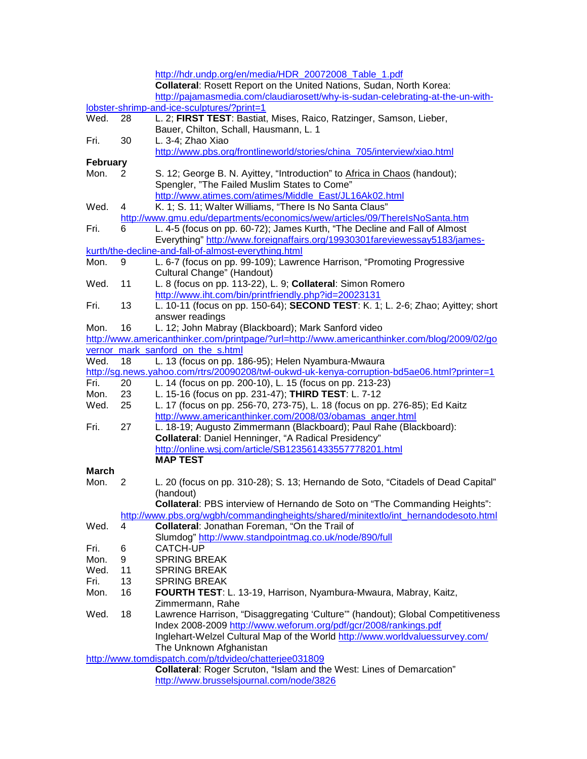|                                                       |    | http://hdr.undp.org/en/media/HDR 20072008 Table 1.pdf                                        |  |  |  |
|-------------------------------------------------------|----|----------------------------------------------------------------------------------------------|--|--|--|
|                                                       |    | Collateral: Rosett Report on the United Nations, Sudan, North Korea:                         |  |  |  |
|                                                       |    | http://pajamasmedia.com/claudiarosett/why-is-sudan-celebrating-at-the-un-with-               |  |  |  |
|                                                       |    | lobster-shrimp-and-ice-sculptures/?print=1                                                   |  |  |  |
| Wed.                                                  | 28 | L. 2; FIRST TEST: Bastiat, Mises, Raico, Ratzinger, Samson, Lieber,                          |  |  |  |
|                                                       |    | Bauer, Chilton, Schall, Hausmann, L. 1                                                       |  |  |  |
| Fri.                                                  | 30 | L. 3-4; Zhao Xiao                                                                            |  |  |  |
|                                                       |    | http://www.pbs.org/frontlineworld/stories/china_705/interview/xiao.html                      |  |  |  |
| <b>February</b>                                       |    |                                                                                              |  |  |  |
| Mon.                                                  | 2  | S. 12; George B. N. Ayittey, "Introduction" to Africa in Chaos (handout);                    |  |  |  |
|                                                       |    |                                                                                              |  |  |  |
|                                                       |    | Spengler, "The Failed Muslim States to Come"                                                 |  |  |  |
|                                                       |    | http://www.atimes.com/atimes/Middle East/JL16Ak02.html                                       |  |  |  |
| Wed.                                                  | 4  | K. 1; S. 11; Walter Williams, "There Is No Santa Claus"                                      |  |  |  |
|                                                       |    | http://www.gmu.edu/departments/economics/wew/articles/09/ThereIsNoSanta.htm                  |  |  |  |
| Fri.                                                  | 6  | L. 4-5 (focus on pp. 60-72); James Kurth, "The Decline and Fall of Almost                    |  |  |  |
|                                                       |    | Everything" http://www.foreignaffairs.org/19930301fareviewessay5183/james-                   |  |  |  |
|                                                       |    | kurth/the-decline-and-fall-of-almost-everything.html                                         |  |  |  |
| Mon.                                                  | 9  | L. 6-7 (focus on pp. 99-109); Lawrence Harrison, "Promoting Progressive                      |  |  |  |
|                                                       |    | Cultural Change" (Handout)                                                                   |  |  |  |
| Wed.                                                  | 11 | L. 8 (focus on pp. 113-22), L. 9; Collateral: Simon Romero                                   |  |  |  |
|                                                       |    | http://www.iht.com/bin/printfriendly.php?id=20023131                                         |  |  |  |
| Fri.                                                  | 13 | L. 10-11 (focus on pp. 150-64); SECOND TEST: K. 1; L. 2-6; Zhao; Ayittey; short              |  |  |  |
|                                                       |    | answer readings                                                                              |  |  |  |
| Mon.                                                  | 16 | L. 12; John Mabray (Blackboard); Mark Sanford video                                          |  |  |  |
|                                                       |    | http://www.americanthinker.com/printpage/?url=http://www.americanthinker.com/blog/2009/02/go |  |  |  |
|                                                       |    | vernor_mark_sanford_on_the_s.html                                                            |  |  |  |
| Wed.                                                  | 18 | L. 13 (focus on pp. 186-95); Helen Nyambura-Mwaura                                           |  |  |  |
|                                                       |    | http://sg.news.yahoo.com/rtrs/20090208/twl-oukwd-uk-kenya-corruption-bd5ae06.html?printer=1  |  |  |  |
| Fri.                                                  | 20 | L. 14 (focus on pp. 200-10), L. 15 (focus on pp. 213-23)                                     |  |  |  |
| Mon.                                                  | 23 | L. 15-16 (focus on pp. 231-47); THIRD TEST: L. 7-12                                          |  |  |  |
| Wed.                                                  | 25 | L. 17 (focus on pp. 256-70, 273-75), L. 18 (focus on pp. 276-85); Ed Kaitz                   |  |  |  |
|                                                       |    | http://www.americanthinker.com/2008/03/obamas_anger.html                                     |  |  |  |
| Fri.                                                  | 27 | L. 18-19; Augusto Zimmermann (Blackboard); Paul Rahe (Blackboard):                           |  |  |  |
|                                                       |    | <b>Collateral: Daniel Henninger, "A Radical Presidency"</b>                                  |  |  |  |
|                                                       |    | http://online.wsj.com/article/SB123561433557778201.html                                      |  |  |  |
|                                                       |    | <b>MAP TEST</b>                                                                              |  |  |  |
| <b>March</b>                                          |    |                                                                                              |  |  |  |
|                                                       |    |                                                                                              |  |  |  |
| Mon.                                                  | 2  | L. 20 (focus on pp. 310-28); S. 13; Hernando de Soto, "Citadels of Dead Capital"             |  |  |  |
|                                                       |    | (handout)<br>Collateral: PBS interview of Hernando de Soto on "The Commanding Heights":      |  |  |  |
|                                                       |    |                                                                                              |  |  |  |
|                                                       |    | http://www.pbs.org/wgbh/commandingheights/shared/minitextlo/int_hernandodesoto.html          |  |  |  |
| Wed.                                                  | 4  | Collateral: Jonathan Foreman, "On the Trail of                                               |  |  |  |
|                                                       |    | Slumdog" http://www.standpointmag.co.uk/node/890/full                                        |  |  |  |
| Fri.                                                  | 6  | CATCH-UP                                                                                     |  |  |  |
| Mon.                                                  | 9  | <b>SPRING BREAK</b>                                                                          |  |  |  |
| Wed.                                                  | 11 | <b>SPRING BREAK</b>                                                                          |  |  |  |
| Fri.                                                  | 13 | <b>SPRING BREAK</b>                                                                          |  |  |  |
| Mon.                                                  | 16 | FOURTH TEST: L. 13-19, Harrison, Nyambura-Mwaura, Mabray, Kaitz,                             |  |  |  |
|                                                       |    | Zimmermann, Rahe                                                                             |  |  |  |
| Wed.                                                  | 18 | Lawrence Harrison, "Disaggregating 'Culture"" (handout); Global Competitiveness              |  |  |  |
|                                                       |    | Index 2008-2009 http://www.weforum.org/pdf/gcr/2008/rankings.pdf                             |  |  |  |
|                                                       |    | Inglehart-Welzel Cultural Map of the World http://www.worldvaluessurvey.com/                 |  |  |  |
|                                                       |    | The Unknown Afghanistan                                                                      |  |  |  |
| http://www.tomdispatch.com/p/tdvideo/chatterjee031809 |    |                                                                                              |  |  |  |
|                                                       |    | Collateral: Roger Scruton, "Islam and the West: Lines of Demarcation"                        |  |  |  |
|                                                       |    | http://www.brusselsjournal.com/node/3826                                                     |  |  |  |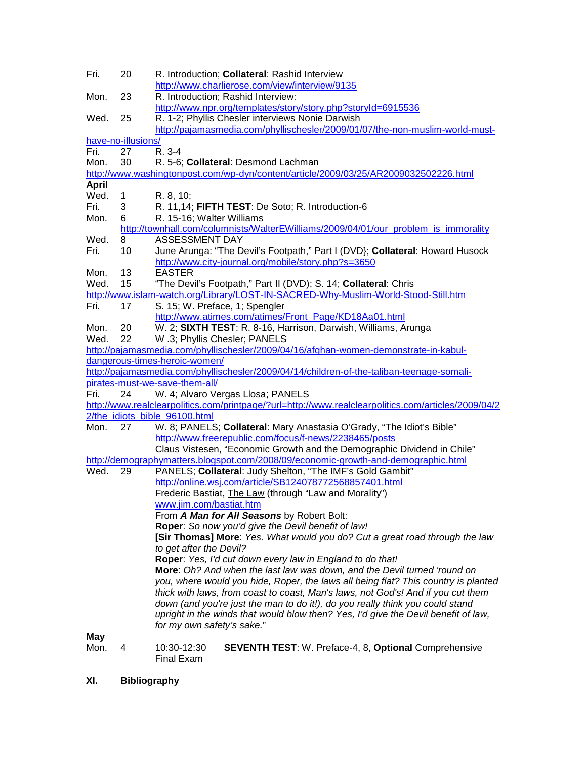| Fri.         | 20                 | R. Introduction; Collateral: Rashid Interview<br>http://www.charlierose.com/view/interview/9135                                      |
|--------------|--------------------|--------------------------------------------------------------------------------------------------------------------------------------|
| Mon.         | 23                 | R. Introduction; Rashid Interview:<br>http://www.npr.org/templates/story/story.php?storyId=6915536                                   |
| Wed.         | 25                 | R. 1-2; Phyllis Chesler interviews Nonie Darwish                                                                                     |
|              |                    | http://pajamasmedia.com/phyllischesler/2009/01/07/the-non-muslim-world-must-                                                         |
|              | have-no-illusions/ |                                                                                                                                      |
| Fri.         | 27                 | R. 3-4                                                                                                                               |
| Mon.         | 30                 | R. 5-6; Collateral: Desmond Lachman                                                                                                  |
|              |                    | http://www.washingtonpost.com/wp-dyn/content/article/2009/03/25/AR2009032502226.html                                                 |
| <b>April</b> |                    |                                                                                                                                      |
| Wed.         | 1                  | R. 8, 10;                                                                                                                            |
| Fri.         | 3                  | R. 11,14; FIFTH TEST: De Soto; R. Introduction-6                                                                                     |
| Mon.         | 6                  | R. 15-16; Walter Williams                                                                                                            |
|              |                    | http://townhall.com/columnists/WalterEWilliams/2009/04/01/our_problem_is_immorality                                                  |
| Wed.         | 8                  | <b>ASSESSMENT DAY</b>                                                                                                                |
| Fri.         | 10                 | June Arunga: "The Devil's Footpath," Part I (DVD); Collateral: Howard Husock                                                         |
|              |                    | http://www.city-journal.org/mobile/story.php?s=3650                                                                                  |
| Mon.         | 13                 | <b>EASTER</b>                                                                                                                        |
| Wed.         | 15                 | "The Devil's Footpath," Part II (DVD); S. 14; Collateral: Chris                                                                      |
|              |                    | http://www.islam-watch.org/Library/LOST-IN-SACRED-Why-Muslim-World-Stood-Still.htm                                                   |
| Fri.         | 17                 | S. 15; W. Preface, 1; Spengler                                                                                                       |
|              |                    | http://www.atimes.com/atimes/Front_Page/KD18Aa01.html                                                                                |
| Mon.         | 20                 | W. 2; SIXTH TEST: R. 8-16, Harrison, Darwish, Williams, Arunga                                                                       |
| Wed.         | 22                 | W .3; Phyllis Chesler; PANELS                                                                                                        |
|              |                    | http://pajamasmedia.com/phyllischesler/2009/04/16/afghan-women-demonstrate-in-kabul-                                                 |
|              |                    | dangerous-times-heroic-women/                                                                                                        |
|              |                    | http://pajamasmedia.com/phyllischesler/2009/04/14/children-of-the-taliban-teenage-somali-                                            |
|              |                    | pirates-must-we-save-them-all/                                                                                                       |
| Fri.         | 24                 |                                                                                                                                      |
|              |                    | W. 4; Alvaro Vergas Llosa; PANELS                                                                                                    |
|              |                    | http://www.realclearpolitics.com/printpage/?url=http://www.realclearpolitics.com/articles/2009/04/2<br>2/the_idiots_bible_96100.html |
| Mon.         | 27                 | W. 8; PANELS; Collateral: Mary Anastasia O'Grady, "The Idiot's Bible"                                                                |
|              |                    | http://www.freerepublic.com/focus/f-news/2238465/posts                                                                               |
|              |                    | Claus Vistesen, "Economic Growth and the Demographic Dividend in Chile"                                                              |
|              |                    |                                                                                                                                      |
| Wed.         |                    | http://demographymatters.blogspot.com/2008/09/economic-growth-and-demographic.html                                                   |
|              | 29                 | PANELS; Collateral: Judy Shelton, "The IMF's Gold Gambit"                                                                            |
|              |                    | http://online.wsj.com/article/SB124078772568857401.html                                                                              |
|              |                    | Frederic Bastiat, The Law (through "Law and Morality")                                                                               |
|              |                    | www.jim.com/bastiat.htm                                                                                                              |
|              |                    | From A Man for All Seasons by Robert Bolt:                                                                                           |
|              |                    | Roper: So now you'd give the Devil benefit of law!                                                                                   |
|              |                    | [Sir Thomas] More: Yes. What would you do? Cut a great road through the law                                                          |
|              |                    | to get after the Devil?                                                                                                              |
|              |                    | Roper: Yes, I'd cut down every law in England to do that!                                                                            |
|              |                    | More: Oh? And when the last law was down, and the Devil turned 'round on                                                             |
|              |                    | you, where would you hide, Roper, the laws all being flat? This country is planted                                                   |
|              |                    | thick with laws, from coast to coast, Man's laws, not God's! And if you cut them                                                     |
|              |                    | down (and you're just the man to do it!), do you really think you could stand                                                        |
|              |                    | upright in the winds that would blow then? Yes, I'd give the Devil benefit of law,                                                   |
|              |                    | for my own safety's sake."                                                                                                           |
| May          |                    |                                                                                                                                      |
| Mon.         | 4                  | <b>SEVENTH TEST: W. Preface-4, 8, Optional Comprehensive</b><br>10:30-12:30<br>Final Exam                                            |

**XI. Bibliography**